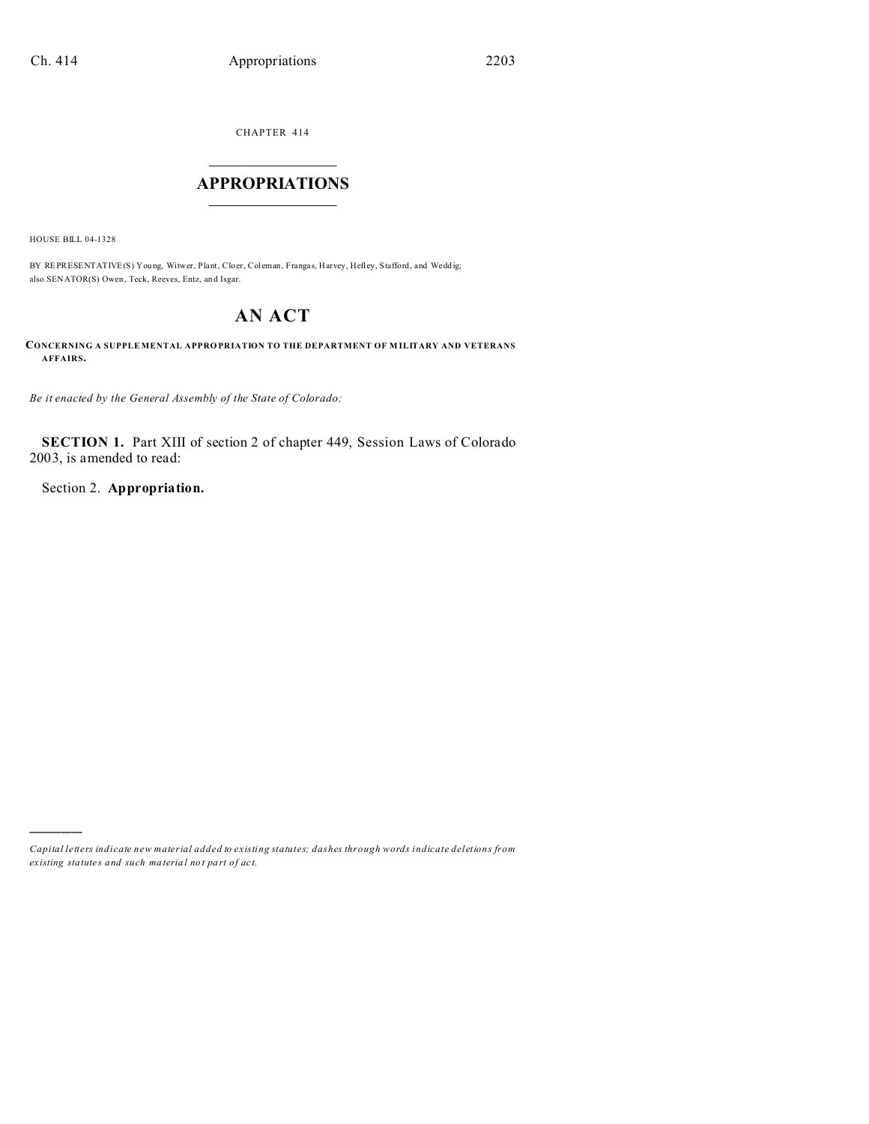CHAPTER 414  $\overline{\phantom{a}}$  , where  $\overline{\phantom{a}}$ 

### **APPROPRIATIONS**  $\_$   $\_$   $\_$   $\_$   $\_$   $\_$   $\_$   $\_$

HOUSE BILL 04-1328

)))))

BY REPRESENTATIVE(S) Young, Witwer, Plant, Cloer, Coleman, Frangas, Harvey, Hefley, Stafford, and Weddig; also SENATOR(S) Owen, Teck, Reeves, Entz, and Isgar.

# **AN ACT**

**CONCERNING A SUPPLE MENTAL APPRO PRIATION TO THE DEPARTMENT OF M ILITARY AND VETERANS AFFAIRS.**

*Be it enacted by the General Assembly of the State of Colorado:*

**SECTION 1.** Part XIII of section 2 of chapter 449, Session Laws of Colorado 2003, is amended to read:

Section 2. **Appropriation.**

*Capital letters indicate new material added to existing statutes; dashes through words indicate deletions from ex isting statute s and such ma teria l no t pa rt of ac t.*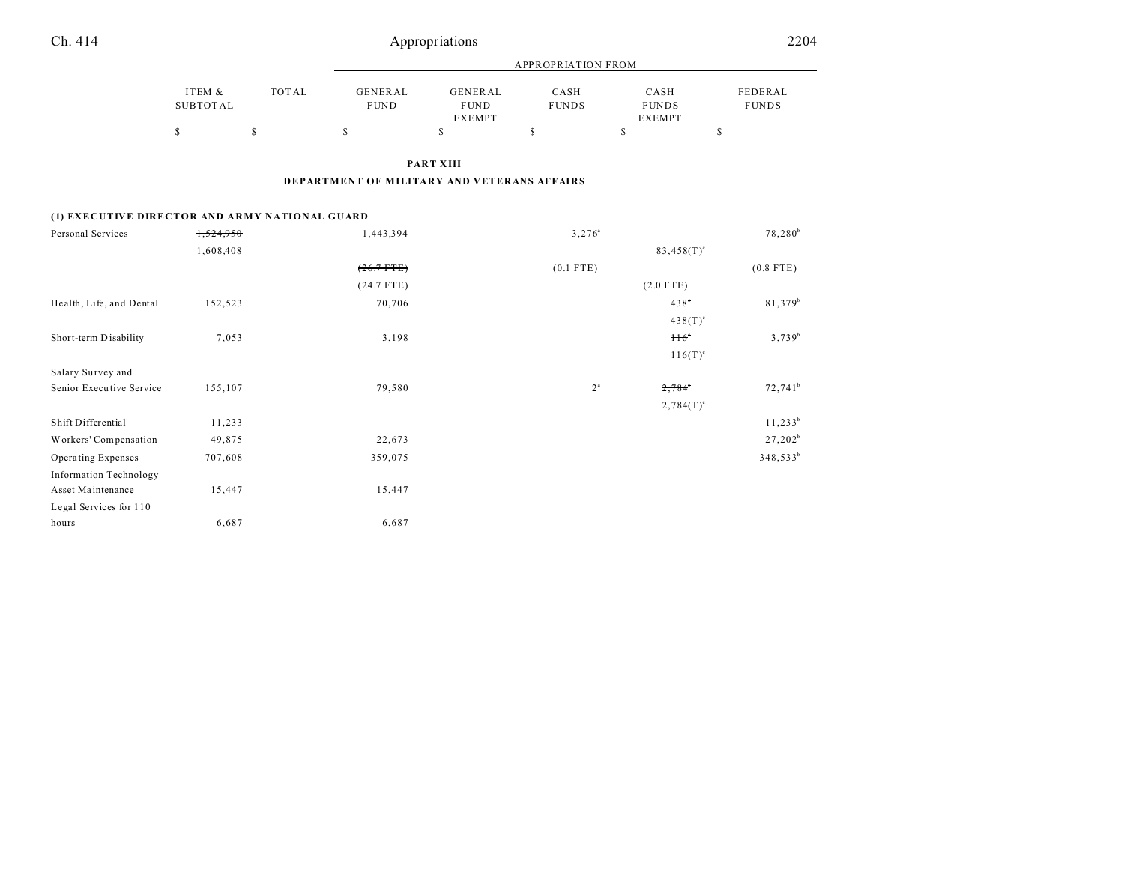| Ch. 414                                        |                           | Appropriations            |                                             |                                  |                      |                                       |                         |  |
|------------------------------------------------|---------------------------|---------------------------|---------------------------------------------|----------------------------------|----------------------|---------------------------------------|-------------------------|--|
|                                                |                           | <b>APPROPRIATION FROM</b> |                                             |                                  |                      |                                       |                         |  |
|                                                | ITEM &<br><b>SUBTOTAL</b> | <b>TOTAL</b>              | <b>GENERAL</b><br><b>FUND</b>               | GENERAL<br><b>FUND</b><br>EXEMPT | CASH<br><b>FUNDS</b> | CASH<br><b>FUNDS</b><br><b>EXEMPT</b> | FEDERAL<br><b>FUNDS</b> |  |
|                                                | \$                        | \$                        | S                                           | \$                               | \$                   | s                                     | \$                      |  |
|                                                |                           |                           |                                             | PART XIII                        |                      |                                       |                         |  |
|                                                |                           |                           | DEPARTMENT OF MILITARY AND VETERANS AFFAIRS |                                  |                      |                                       |                         |  |
| (1) EXECUTIVE DIRECTOR AND ARMY NATIONAL GUARD |                           |                           |                                             |                                  |                      |                                       |                         |  |
| Personal Services                              | 1,524,950                 |                           | 1,443,394                                   |                                  | $3,276^{\circ}$      |                                       | $78,280^b$              |  |
|                                                | 1,608,408                 |                           |                                             |                                  |                      | $83,458(T)^c$                         |                         |  |
|                                                |                           |                           | $(26.7 + TE)$                               |                                  | $(0.1$ FTE)          |                                       | $(0.8$ FTE)             |  |
|                                                |                           |                           | $(24.7$ FTE)                                |                                  |                      | $(2.0$ FTE)                           |                         |  |

| Health, Life, and Dental      | 152,523 | 70,706  |                  | $438^\circ$     | 81,379 <sup>b</sup>  |
|-------------------------------|---------|---------|------------------|-----------------|----------------------|
|                               |         |         |                  | $438(T)^c$      |                      |
| Short-term Disability         | 7,053   | 3,198   |                  | $116^\circ$     | $3,739^{b}$          |
|                               |         |         |                  | $116(T)^{c}$    |                      |
| Salary Survey and             |         |         |                  |                 |                      |
| Senior Executive Service      | 155,107 | 79,580  | $2^{\mathrm{a}}$ | $2,784^{\circ}$ | $72,741^b$           |
|                               |         |         |                  | $2,784(T)^c$    |                      |
| Shift Differential            | 11,233  |         |                  |                 | $11,233^b$           |
| Workers' Compensation         | 49,875  | 22,673  |                  |                 | $27,202^b$           |
| Operating Expenses            | 707,608 | 359,075 |                  |                 | 348,533 <sup>b</sup> |
| <b>Information Technology</b> |         |         |                  |                 |                      |
| Asset Maintenance             | 15,447  | 15,447  |                  |                 |                      |
| Legal Services for 110        |         |         |                  |                 |                      |
| hours                         | 6,687   | 6,687   |                  |                 |                      |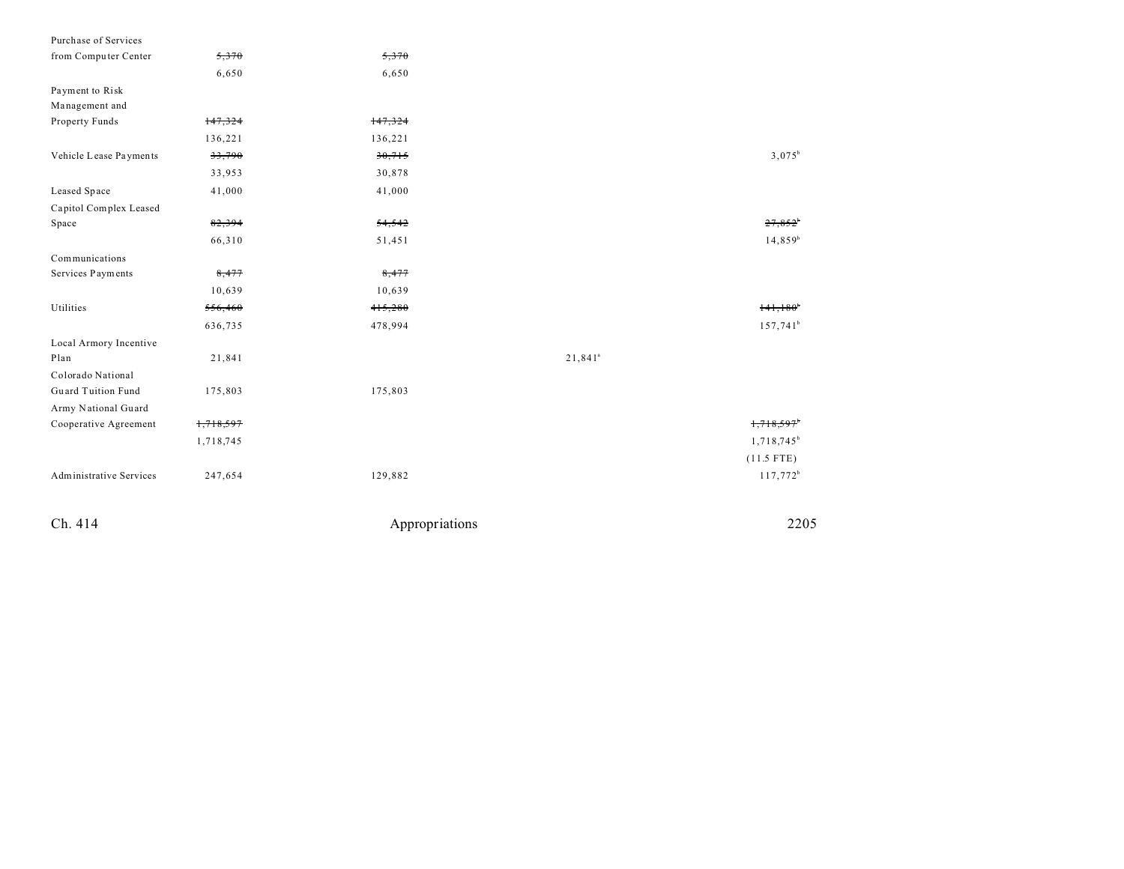| Purchase of Services           |           |         |                       |                        |
|--------------------------------|-----------|---------|-----------------------|------------------------|
| from Computer Center           | 5,370     | 5,370   |                       |                        |
|                                | 6,650     | 6,650   |                       |                        |
| Payment to Risk                |           |         |                       |                        |
| Management and                 |           |         |                       |                        |
| Property Funds                 | 147,324   | 147,324 |                       |                        |
|                                | 136,221   | 136,221 |                       |                        |
| Vehicle Lease Payments         | 33,790    | 30,715  |                       | $3,075^b$              |
|                                | 33,953    | 30,878  |                       |                        |
| Leased Space                   | 41,000    | 41,000  |                       |                        |
| Capitol Complex Leased         |           |         |                       |                        |
| Space                          | 82,394    | 54,542  |                       | 27,852                 |
|                                | 66,310    | 51,451  |                       | $14,859^b$             |
| Communications                 |           |         |                       |                        |
| Services Payments              | 8,477     | 8,477   |                       |                        |
|                                | 10,639    | 10,639  |                       |                        |
| Utilities                      | 556,460   | 415,280 |                       | $141,180$ <sup>*</sup> |
|                                | 636,735   | 478,994 |                       | $157,741^b$            |
| Local Armory Incentive         |           |         |                       |                        |
| Plan                           | 21,841    |         | $21,841$ <sup>a</sup> |                        |
| Colorado National              |           |         |                       |                        |
| Guard Tuition Fund             | 175,803   | 175,803 |                       |                        |
| Army National Guard            |           |         |                       |                        |
| Cooperative Agreement          | 1,718,597 |         |                       | 1,718,597              |
|                                | 1,718,745 |         |                       | 1,718,745 <sup>b</sup> |
|                                |           |         |                       | $(11.5$ FTE)           |
| <b>Administrative Services</b> | 247,654   | 129,882 |                       | 117,772 <sup>b</sup>   |
|                                |           |         |                       |                        |
|                                |           |         |                       |                        |

Ch. 414 Appropriations 2205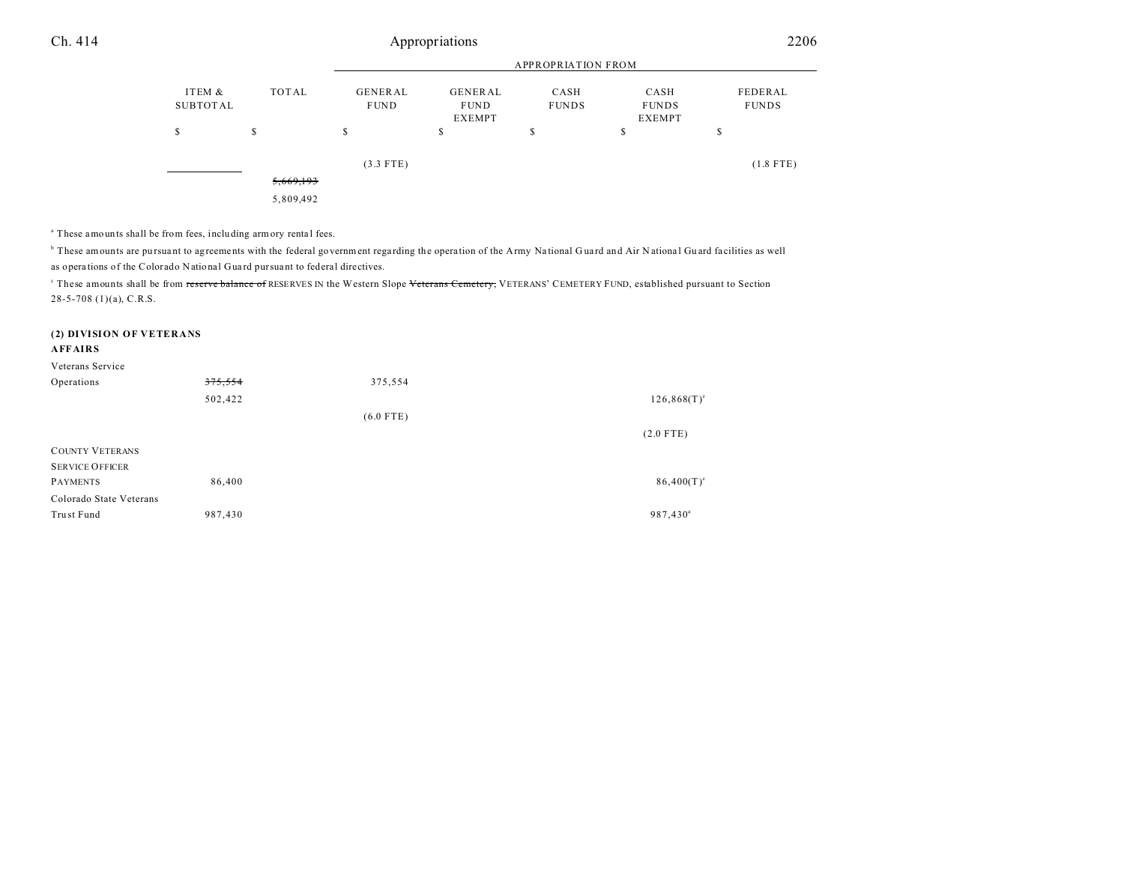## Ch. 414 Appropriations 2206

|                    |           | <b>APPROPRIATION FROM</b> |                                         |                      |                                       |                         |  |
|--------------------|-----------|---------------------------|-----------------------------------------|----------------------|---------------------------------------|-------------------------|--|
| ITEM &<br>SUBTOTAL | TOTAL     | GENERAL<br><b>FUND</b>    | GENERAL<br><b>FUND</b><br><b>EXEMPT</b> | CASH<br><b>FUNDS</b> | CASH<br><b>FUNDS</b><br><b>EXEMPT</b> | FEDERAL<br><b>FUNDS</b> |  |
| S                  | S         | \$                        | S                                       | \$                   | \$                                    | S                       |  |
|                    |           | $(3.3$ FTE)               |                                         |                      |                                       | $(1.8$ FTE)             |  |
|                    | 5,669,193 |                           |                                         |                      |                                       |                         |  |
|                    | 5,809,492 |                           |                                         |                      |                                       |                         |  |

<sup>a</sup> These amounts shall be from fees, including armory rental fees.

<sup>b</sup> These amounts are pursuant to agreements with the federal government regarding the operation of the Army National Guard and Air National Guard facilities as well as opera tions of the Colorado National Gua rd pursua nt to federal directives.

These amounts shall be from <del>reserve balance of</del> RESERVES IN the Western Slope <del>Veterans Cemetery,</del> VETERANS' CEMETERY FUND, established pursuant to Section 28-5-708 (1)(a), C.R.S.

#### **(2) DIVISION OF VETERANS**

#### **AFFAIRS**

| Veterans Service        |         |             |                      |
|-------------------------|---------|-------------|----------------------|
| Operations              | 375,554 | 375,554     |                      |
|                         | 502,422 |             | $126,868(T)^e$       |
|                         |         | $(6.0$ FTE) |                      |
|                         |         |             | $(2.0$ FTE)          |
| <b>COUNTY VETERANS</b>  |         |             |                      |
| <b>SERVICE OFFICER</b>  |         |             |                      |
| <b>PAYMENTS</b>         | 86,400  |             | $86,400(T)^e$        |
| Colorado State Veterans |         |             |                      |
| Trust Fund              | 987,430 |             | 987,430 <sup>a</sup> |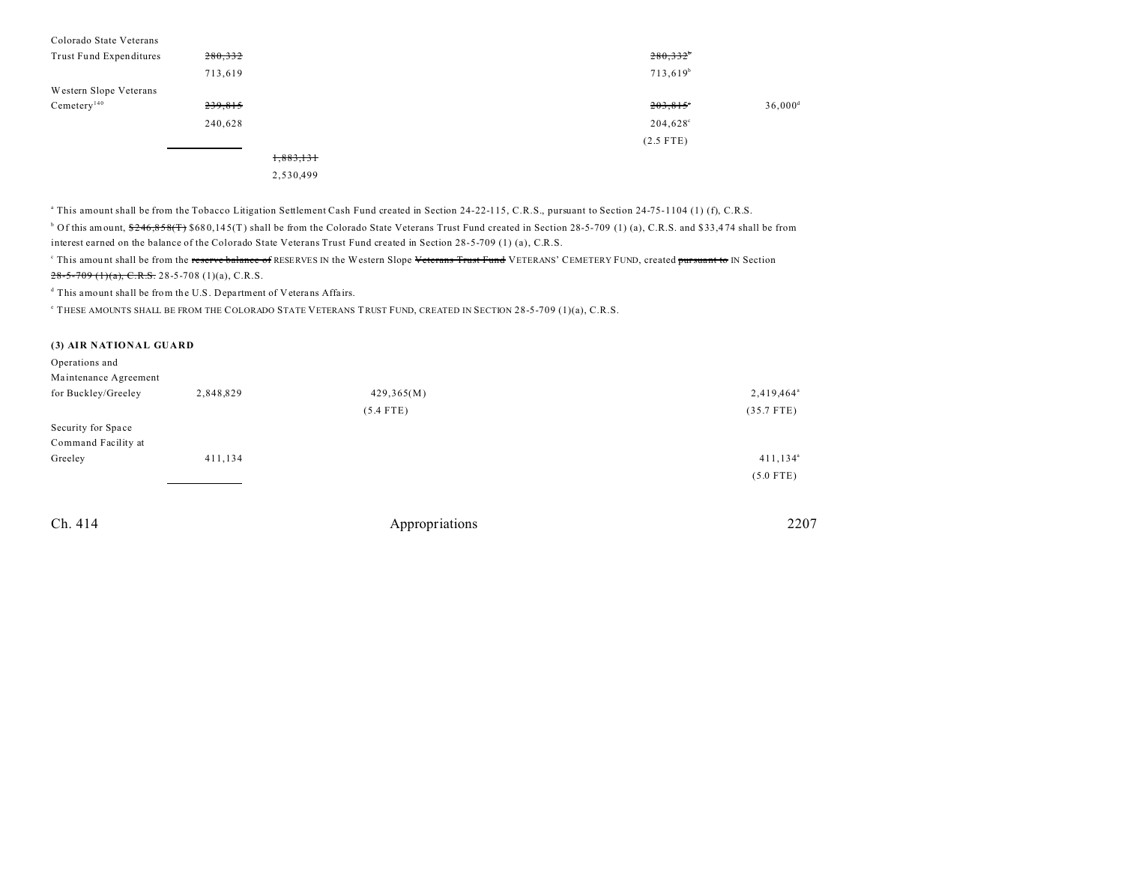| Colorado State Veterans |           |                   |                       |
|-------------------------|-----------|-------------------|-----------------------|
| Trust Fund Expenditures | 280,332   | $280,332^{\circ}$ |                       |
|                         | 713,619   | $713,619^b$       |                       |
| Western Slope Veterans  |           |                   |                       |
| Cemetery <sup>140</sup> | 239,815   | $203,815$ °       | $36,000$ <sup>d</sup> |
|                         | 240,628   | $204,628^{\circ}$ |                       |
|                         |           | $(2.5$ FTE)       |                       |
|                         | 1,883,131 |                   |                       |
|                         | 2,530,499 |                   |                       |

a This amount shall be from the Tobacco Litigation Settlement Cash Fund created in Section 24-22-115, C.R.S., pursuant to Section 24-75-1104 (1) (f), C.R.S.

 $b$  Of this amount,  $246,858$ (T) \$680,145(T) shall be from the Colorado State Veterans Trust Fund created in Section 28-5-709 (1) (a), C.R.S. and \$33,474 shall be from interest earned on the balance of the Colorado State Veterans Trust Fund created in Section 28-5-709 (1) (a), C.R.S.

<sup>c</sup> This amount shall be from the <del>reserve balance of</del> RESERVES IN the Western Slope <del>Veterans Trust Fund</del> VETERANS' CEMETERY FUND, created <del>pursuant to</del> IN Section  $28-5-709$  (1)(a), C.R.S. 28-5-708 (1)(a), C.R.S.

<sup>d</sup> This amount shall be from the U.S. Department of Veterans Affairs.

e THESE AMOUNTS SHALL BE FROM THE COLORADO STATE VETERANS TRUST FUND, CREATED IN SECTION 28-5-709 (1)(a), C.R.S.

#### **(3) AIR NATIONAL GUARD**

| Operations and        |           |             |                        |
|-----------------------|-----------|-------------|------------------------|
| Maintenance Agreement |           |             |                        |
| for Buckley/Greeley   | 2,848,829 | 429,365(M)  | 2,419,464 <sup>a</sup> |
|                       |           | $(5.4$ FTE) | $(35.7$ FTE)           |
| Security for Space    |           |             |                        |
| Command Facility at   |           |             |                        |
| Greeley               | 411,134   |             | $411, 134^{\circ}$     |
|                       |           |             | $(5.0$ FTE)            |

Ch. 414 Appropriations 2207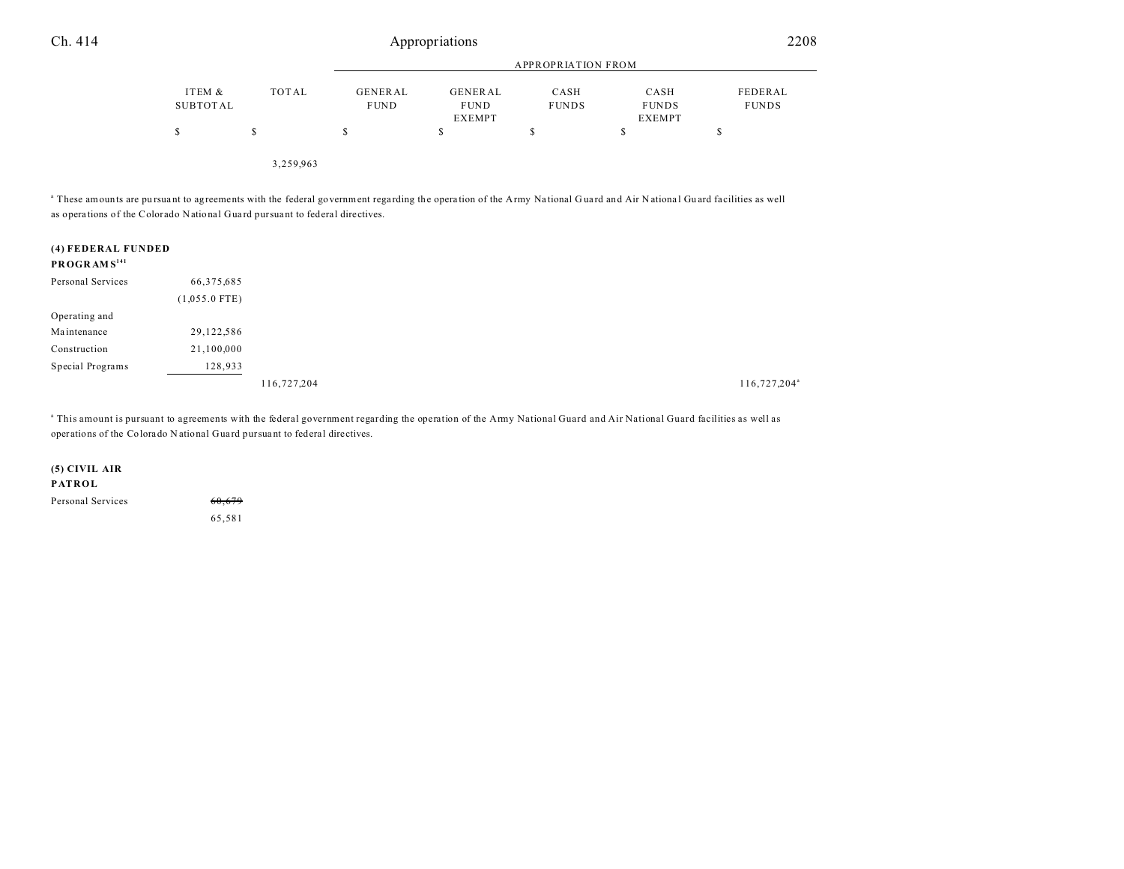3,259,963

<sup>a</sup> These amounts are pursuant to agreements with the federal government regarding the operation of the Army National Guard and Air National Guard facilities as well as opera tions of the Colorado National Gua rd pursua nt to federal directives.

| (4) FEDERAL FUNDED<br>PROGRAMS <sup>141</sup> |                 |  |
|-----------------------------------------------|-----------------|--|
| Personal Services                             | 66,375,685      |  |
|                                               | $(1,055.0$ FTE) |  |
| Operating and                                 |                 |  |
| Maintenance                                   | 29,122,586      |  |
| Construction                                  | 21,100,000      |  |
| Special Programs                              | 128,933         |  |
|                                               |                 |  |

a This amount is pursuant to agreements with the federal government regarding the operation of the Army National Guard and Air National Guard facilities as well as operations of the Colora do N ational Gua rd pursua nt to federal directives.

**(5) CIVIL AIR PATROL** Personal Services 60,679 65,581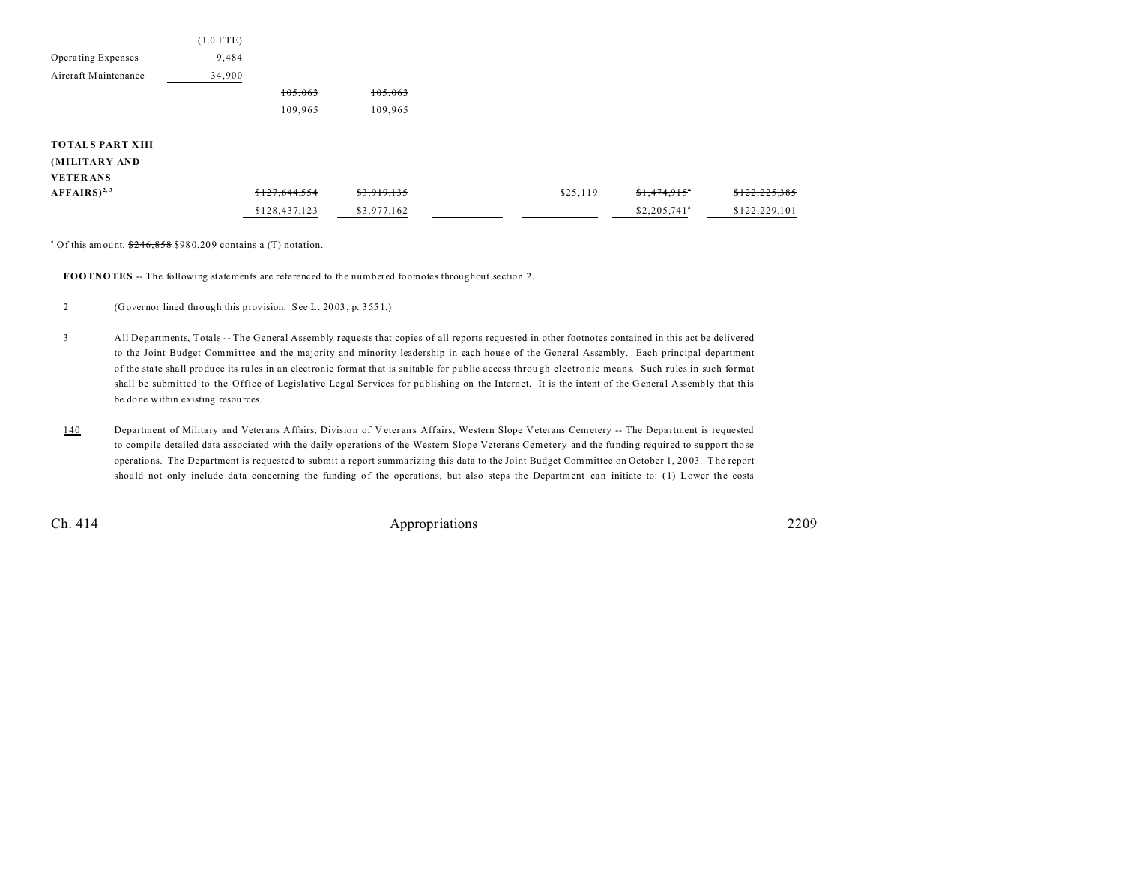|                         | $(1.0$ FTE) |         |         |  |
|-------------------------|-------------|---------|---------|--|
| Operating Expenses      | 9,484       |         |         |  |
| Aircraft Maintenance    | 34,900      |         |         |  |
|                         |             | 105,063 | 105,063 |  |
|                         |             | 109,965 | 109,965 |  |
|                         |             |         |         |  |
| <b>TOTALS PART XIII</b> |             |         |         |  |
| (MILITARY AND           |             |         |         |  |

| <b>VETERANS</b>           |               |                        |          |                           |               |
|---------------------------|---------------|------------------------|----------|---------------------------|---------------|
| $AFFAIRS$ <sup>2, 3</sup> | \$127,644,554 | <del>\$3,919,135</del> | \$25,119 | <del>\$1,474,915</del> °  | \$122,225,385 |
|                           | \$128,437,123 | \$3,977,162            |          | $$2,205.741$ <sup>a</sup> | \$122,229,101 |

<sup>a</sup> Of this amount,  $246,858$  \$980,209 contains a (T) notation.

**FOOTNOTES** -- The following statements are referenced to the numbered footnotes throughout section 2.

- 3 All Departments, Totals -- The General Assembly requests that copies of all reports requested in other footnotes contained in this act be delivered to the Joint Budget Committee and the majority and minority leadership in each house of the General Assembly. Each principal department of the sta te sha ll produce its ru les in an electronic format that is su itable for public access throu gh electro nic means. Such rules in such format shall be submitted to the Office of Legislative Legal Services for publishing on the Internet. It is the intent of the General Assembly that this be done within existing resou rces.
- 140 Department of Military and Veterans Affairs, Division of Veterans Affairs, Western Slope Veterans Cemetery -- The Department is requested to compile detailed data associated with the daily operations of the Western Slope Veterans Cemetery and the funding required to support those operations. The Department is requested to submit a report summarizing this data to the Joint Budget Committee on October 1, 2003. The report should not only include data concerning the funding of the operations, but also steps the Department can initiate to: (1) Lower the costs

Ch. 414 Appropriations 2209

<sup>2</sup> (Governor lined through this provision. See L. 20 03 , p. 355 1.)